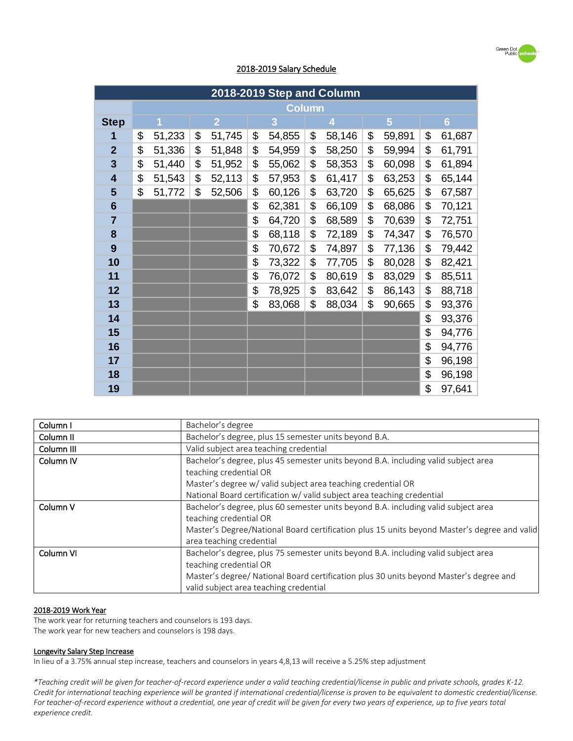

# 2018-2019 Salary Schedule

| 2018-2019 Step and Column |               |        |    |                |    |        |    |        |    |                |    |                |
|---------------------------|---------------|--------|----|----------------|----|--------|----|--------|----|----------------|----|----------------|
|                           | <b>Column</b> |        |    |                |    |        |    |        |    |                |    |                |
| <b>Step</b>               |               | 1      |    | $\overline{2}$ |    | 3      |    | 4      |    | $5\phantom{.}$ |    | $6\phantom{a}$ |
| 1                         | \$            | 51,233 | \$ | 51,745         | \$ | 54,855 | \$ | 58,146 | \$ | 59,891         | \$ | 61,687         |
| $\overline{2}$            | \$            | 51,336 | \$ | 51,848         | \$ | 54,959 | \$ | 58,250 | \$ | 59,994         | \$ | 61,791         |
| $\overline{\mathbf{3}}$   | \$            | 51,440 | \$ | 51,952         | \$ | 55,062 | \$ | 58,353 | \$ | 60,098         | \$ | 61,894         |
| $\overline{\mathbf{4}}$   | \$            | 51,543 | \$ | 52,113         | \$ | 57,953 | \$ | 61,417 | \$ | 63,253         | \$ | 65,144         |
| 5                         | \$            | 51,772 | \$ | 52,506         | \$ | 60,126 | \$ | 63,720 | \$ | 65,625         | \$ | 67,587         |
| $6\phantom{1}6$           |               |        |    |                | \$ | 62,381 | \$ | 66,109 | \$ | 68,086         | \$ | 70,121         |
| $\overline{7}$            |               |        |    |                | \$ | 64,720 | \$ | 68,589 | \$ | 70,639         | \$ | 72,751         |
| 8                         |               |        |    |                | \$ | 68,118 | \$ | 72,189 | \$ | 74,347         | \$ | 76,570         |
| 9                         |               |        |    |                | \$ | 70,672 | \$ | 74,897 | \$ | 77,136         | \$ | 79,442         |
| 10                        |               |        |    |                | \$ | 73,322 | \$ | 77,705 | \$ | 80,028         | \$ | 82,421         |
| 11                        |               |        |    |                | \$ | 76,072 | \$ | 80,619 | \$ | 83,029         | \$ | 85,511         |
| 12                        |               |        |    |                | \$ | 78,925 | \$ | 83,642 | \$ | 86,143         | \$ | 88,718         |
| 13                        |               |        |    |                | \$ | 83,068 | \$ | 88,034 | \$ | 90,665         | \$ | 93,376         |
| 14                        |               |        |    |                |    |        |    |        |    |                | \$ | 93,376         |
| 15                        |               |        |    |                |    |        |    |        |    |                | \$ | 94,776         |
| 16                        |               |        |    |                |    |        |    |        |    |                | \$ | 94,776         |
| 17                        |               |        |    |                |    |        |    |        |    |                | \$ | 96,198         |
| 18                        |               |        |    |                |    |        |    |        |    |                | \$ | 96,198         |
| 19                        |               |        |    |                |    |        |    |        |    |                | \$ | 97,641         |

| Column I             | Bachelor's degree                                                                           |
|----------------------|---------------------------------------------------------------------------------------------|
| Column <sub>II</sub> | Bachelor's degree, plus 15 semester units beyond B.A.                                       |
| Column III           | Valid subject area teaching credential                                                      |
| Column <sub>IV</sub> | Bachelor's degree, plus 45 semester units beyond B.A. including valid subject area          |
|                      | teaching credential OR                                                                      |
|                      | Master's degree w/ valid subject area teaching credential OR                                |
|                      | National Board certification w/ valid subject area teaching credential                      |
| Column V             | Bachelor's degree, plus 60 semester units beyond B.A. including valid subject area          |
|                      | teaching credential OR                                                                      |
|                      | Master's Degree/National Board certification plus 15 units beyond Master's degree and valid |
|                      | area teaching credential                                                                    |
| Column VI            | Bachelor's degree, plus 75 semester units beyond B.A. including valid subject area          |
|                      | teaching credential OR                                                                      |
|                      | Master's degree/ National Board certification plus 30 units beyond Master's degree and      |
|                      | valid subject area teaching credential                                                      |

#### 2018-2019 Work Year

The work year for returning teachers and counselors is 193 days. The work year for new teachers and counselors is 198 days.

#### Longevity Salary Step Increase

In lieu of a 3.75% annual step increase, teachers and counselors in years 4,8,13 will receive a 5.25% step adjustment

*\*Teaching credit will be given for teacher-of-record experience under a valid teaching credential/license in public and private schools, grades K-12. Credit for international teaching experience will be granted if international credential/license is proven to be equivalent to domestic credential/license. For teacher-of-record experience without a credential, one year of credit will be given for every two years of experience, up to five years total experience credit.*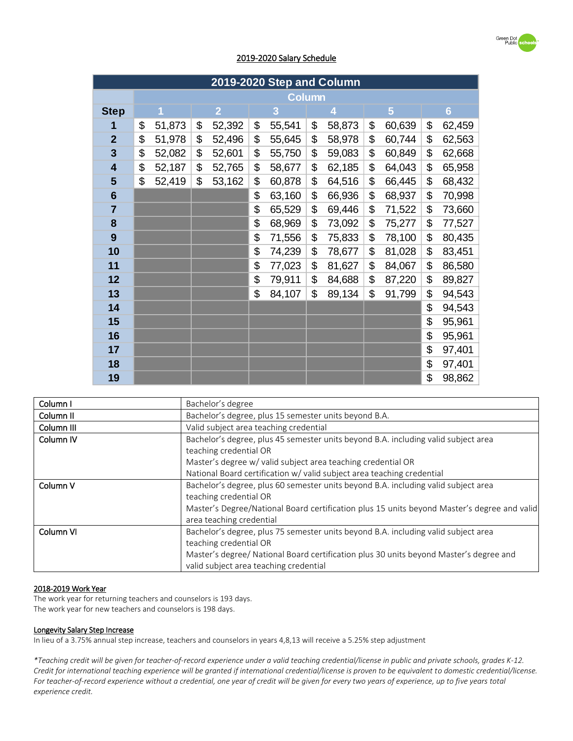

## 2019-2020 Salary Schedule

| 2019-2020 Step and Column |    |        |    |                |    |               |    |        |                |                |
|---------------------------|----|--------|----|----------------|----|---------------|----|--------|----------------|----------------|
|                           |    |        |    |                |    | <b>Column</b> |    |        |                |                |
| <b>Step</b>               |    |        |    | $\overline{2}$ |    | 3             |    | 4      | $5\phantom{.}$ | $6\phantom{a}$ |
| 1                         | \$ | 51,873 | \$ | 52,392         | \$ | 55,541        | \$ | 58,873 | \$<br>60,639   | \$<br>62,459   |
| $\overline{2}$            | \$ | 51,978 | \$ | 52,496         | \$ | 55,645        | \$ | 58,978 | \$<br>60,744   | \$<br>62,563   |
| 3                         | \$ | 52,082 | \$ | 52,601         | \$ | 55,750        | \$ | 59,083 | \$<br>60,849   | \$<br>62,668   |
| $\overline{\mathbf{4}}$   | \$ | 52,187 | \$ | 52,765         | \$ | 58,677        | \$ | 62,185 | \$<br>64,043   | \$<br>65,958   |
| 5                         | \$ | 52,419 | \$ | 53,162         | \$ | 60,878        | \$ | 64,516 | \$<br>66,445   | \$<br>68,432   |
| $6\phantom{1}6$           |    |        |    |                | \$ | 63,160        | \$ | 66,936 | \$<br>68,937   | \$<br>70,998   |
| $\overline{7}$            |    |        |    |                | \$ | 65,529        | \$ | 69,446 | \$<br>71,522   | \$<br>73,660   |
| 8                         |    |        |    |                | \$ | 68,969        | \$ | 73,092 | \$<br>75,277   | \$<br>77,527   |
| 9                         |    |        |    |                | \$ | 71,556        | \$ | 75,833 | \$<br>78,100   | \$<br>80,435   |
| 10                        |    |        |    |                | \$ | 74,239        | \$ | 78,677 | \$<br>81,028   | \$<br>83,451   |
| 11                        |    |        |    |                | \$ | 77,023        | \$ | 81,627 | \$<br>84,067   | \$<br>86,580   |
| 12                        |    |        |    |                | \$ | 79,911        | \$ | 84,688 | \$<br>87,220   | \$<br>89,827   |
| 13                        |    |        |    |                | \$ | 84,107        | \$ | 89,134 | \$<br>91,799   | \$<br>94,543   |
| 14                        |    |        |    |                |    |               |    |        |                | \$<br>94,543   |
| 15                        |    |        |    |                |    |               |    |        |                | \$<br>95,961   |
| 16                        |    |        |    |                |    |               |    |        |                | \$<br>95,961   |
| 17                        |    |        |    |                |    |               |    |        |                | \$<br>97,401   |
| 18                        |    |        |    |                |    |               |    |        |                | \$<br>97,401   |
| 19                        |    |        |    |                |    |               |    |        |                | \$<br>98,862   |

| Column I             | Bachelor's degree                                                                                                                |
|----------------------|----------------------------------------------------------------------------------------------------------------------------------|
| Column <sub>II</sub> | Bachelor's degree, plus 15 semester units beyond B.A.                                                                            |
| Column III           | Valid subject area teaching credential                                                                                           |
| Column <sub>IV</sub> | Bachelor's degree, plus 45 semester units beyond B.A. including valid subject area<br>teaching credential OR                     |
|                      | Master's degree w/ valid subject area teaching credential OR                                                                     |
|                      | National Board certification w/ valid subject area teaching credential                                                           |
| Column V             | Bachelor's degree, plus 60 semester units beyond B.A. including valid subject area<br>teaching credential OR                     |
|                      | Master's Degree/National Board certification plus 15 units beyond Master's degree and valid<br>area teaching credential          |
| Column VI            | Bachelor's degree, plus 75 semester units beyond B.A. including valid subject area<br>teaching credential OR                     |
|                      | Master's degree/ National Board certification plus 30 units beyond Master's degree and<br>valid subject area teaching credential |

#### 2018-2019 Work Year

The work year for returning teachers and counselors is 193 days.

The work year for new teachers and counselors is 198 days.

### Longevity Salary Step Increase

In lieu of a 3.75% annual step increase, teachers and counselors in years 4,8,13 will receive a 5.25% step adjustment

*\*Teaching credit will be given for teacher-of-record experience under a valid teaching credential/license in public and private schools, grades K-12. Credit for international teaching experience will be granted if international credential/license is proven to be equivalent to domestic credential/license. For teacher-of-record experience without a credential, one year of credit will be given for every two years of experience, up to five years total experience credit.*